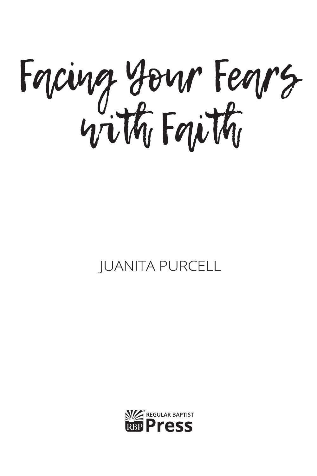Forcing Your Feors

## **IUANITA PURCELL**

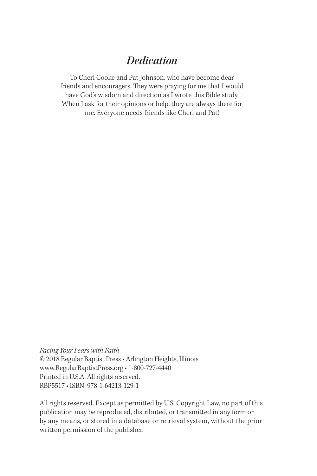### *Dedication*

To Cheri Cooke and Pat Johnson, who have become dear friends and encouragers. They were praying for me that I would have God's wisdom and direction as I wrote this Bible study. When I ask for their opinions or help, they are always there for me. Everyone needs friends like Cheri and Pat!

*Facing Your Fears with Faith* © 2018 Regular Baptist Press • Arlington Heights, Illinois www.RegularBaptistPress.org • 1-800-727-4440 Printed in U.S.A. All rights reserved. RBP5517 • ISBN: 978-1-64213-129-1

All rights reserved. Except as permitted by U.S. Copyright Law, no part of this publication may be reproduced, distributed, or transmitted in any form or by any means, or stored in a database or retrieval system, without the prior written permission of the publisher.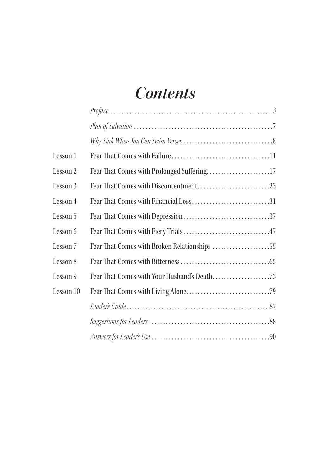## *Contents*

| Lesson 1  |                                            |  |
|-----------|--------------------------------------------|--|
| Lesson 2  | Fear That Comes with Prolonged Suffering17 |  |
| Lesson 3  |                                            |  |
| Lesson 4  |                                            |  |
| Lesson 5  |                                            |  |
| Lesson 6  |                                            |  |
| Lesson 7  |                                            |  |
| Lesson 8  |                                            |  |
| Lesson 9  |                                            |  |
| Lesson 10 |                                            |  |
|           |                                            |  |
|           |                                            |  |
|           |                                            |  |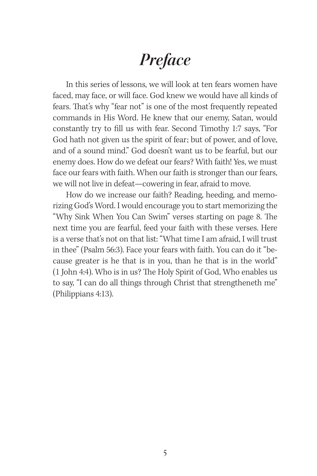## *Preface*

In this series of lessons, we will look at ten fears women have faced, may face, or will face. God knew we would have all kinds of fears. That's why "fear not" is one of the most frequently repeated commands in His Word. He knew that our enemy, Satan, would constantly try to fill us with fear. Second Timothy 1:7 says, "For God hath not given us the spirit of fear; but of power, and of love, and of a sound mind." God doesn't want us to be fearful, but our enemy does. How do we defeat our fears? With faith! Yes, we must face our fears with faith. When our faith is stronger than our fears, we will not live in defeat—cowering in fear, afraid to move.

How do we increase our faith? Reading, heeding, and memorizing God's Word. I would encourage you to start memorizing the "Why Sink When You Can Swim" verses starting on page 8. The next time you are fearful, feed your faith with these verses. Here is a verse that's not on that list: "What time I am afraid, I will trust in thee" (Psalm 56:3). Face your fears with faith. You can do it "because greater is he that is in you, than he that is in the world" (1 John 4:4). Who is in us? The Holy Spirit of God, Who enables us to say, "I can do all things through Christ that strengtheneth me" (Philippians 4:13).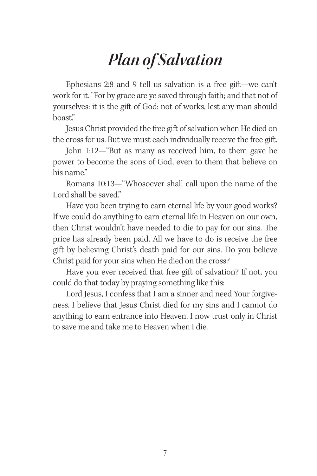## *Plan of Salvation*

Ephesians 2:8 and 9 tell us salvation is a free gift—we can't work for it. "For by grace are ye saved through faith; and that not of yourselves: it is the gift of God: not of works, lest any man should boast."

Jesus Christ provided the free gift of salvation when He died on the cross for us. But we must each individually receive the free gift.

John 1:12—"But as many as received him, to them gave he power to become the sons of God, even to them that believe on his name."

Romans 10:13—"Whosoever shall call upon the name of the Lord shall be saved."

Have you been trying to earn eternal life by your good works? If we could do anything to earn eternal life in Heaven on our own, then Christ wouldn't have needed to die to pay for our sins. The price has already been paid. All we have to do is receive the free gift by believing Christ's death paid for our sins. Do you believe Christ paid for your sins when He died on the cross?

Have you ever received that free gift of salvation? If not, you could do that today by praying something like this:

Lord Jesus, I confess that I am a sinner and need Your forgiveness. I believe that Jesus Christ died for my sins and I cannot do anything to earn entrance into Heaven. I now trust only in Christ to save me and take me to Heaven when I die.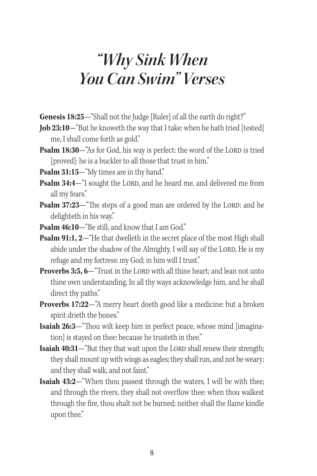## *"Why Sink When You Can Swim" Verses*

**Genesis 18:25**—"Shall not the Judge [Ruler] of all the earth do right?"

- **Job 23:10**—"But he knoweth the way that I take: when he hath tried [tested] me, I shall come forth as gold."
- **Psalm 18:30**—"As for God, his way is perfect: the word of the LORD is tried [proved]: he is a buckler to all those that trust in him."
- **Psalm 31:15**—"My times are in thy hand."
- **Psalm 34:4**—"I sought the LORD, and he heard me, and delivered me from all my fears."
- **Psalm 37:23**—"The steps of a good man are ordered by the LORD: and he delighteth in his way."
- **Psalm 46:10**—"Be still, and know that I am God."
- **Psalm 91:1, 2**—"He that dwelleth in the secret place of the most High shall abide under the shadow of the Almighty. I will say of the LORD, He is my refuge and my fortress: my God; in him will I trust."
- **Proverbs 3:5, 6** "Trust in the LORD with all thine heart; and lean not unto thine own understanding. In all thy ways acknowledge him, and he shall direct thy paths."
- **Proverbs 17:22**—"A merry heart doeth good like a medicine: but a broken spirit drieth the bones."
- **Isaiah 26:3**—"Thou wilt keep him in perfect peace, whose mind [imagination] is stayed on thee: because he trusteth in thee."
- **Isaiah 40:31**—"But they that wait upon the LORD shall renew their strength; they shall mount up with wings as eagles; they shall run, and not be weary; and they shall walk, and not faint."
- **Isaiah 43:2—**"When thou passest through the waters, I will be with thee; and through the rivers, they shall not overflow thee: when thou walkest through the fire, thou shalt not be burned; neither shall the flame kindle upon thee."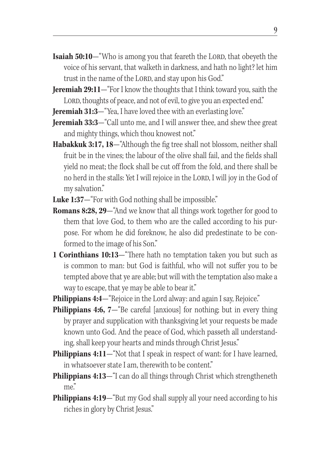- **Isaiah 50:10**—"Who is among you that feareth the LORD, that obeyeth the voice of his servant, that walketh in darkness, and hath no light? let him trust in the name of the LORD, and stay upon his God."
- **Jeremiah 29:11**—"For I know the thoughts that I think toward you, saith the LORD, thoughts of peace, and not of evil, to give you an expected end."
- **Jeremiah 31:3—**"Yea, I have loved thee with an everlasting love."
- **Jeremiah 33:3—**"Call unto me, and I will answer thee, and shew thee great and mighty things, which thou knowest not."
- **Habakkuk 3:17, 18**—"Although the fig tree shall not blossom, neither shall fruit be in the vines; the labour of the olive shall fail, and the fields shall yield no meat; the flock shall be cut off from the fold, and there shall be no herd in the stalls: Yet I will rejoice in the LORD, I will joy in the God of my salvation."
- Luke 1:37-"For with God nothing shall be impossible."
- **Romans 8:28, 29**—"And we know that all things work together for good to them that love God, to them who are the called according to his purpose. For whom he did foreknow, he also did predestinate to be conformed to the image of his Son."
- **1 Corinthians 10:13**—"There hath no temptation taken you but such as is common to man: but God is faithful, who will not suffer you to be tempted above that ye are able; but will with the temptation also make a way to escape, that ye may be able to bear it."
- **Philippians 4:4—** "Rejoice in the Lord alway: and again I say, Rejoice."
- **Philippians 4:6, 7—**"Be careful [anxious] for nothing; but in every thing by prayer and supplication with thanksgiving let your requests be made known unto God. And the peace of God, which passeth all understanding, shall keep your hearts and minds through Christ Jesus."
- **Philippians 4:11**—"Not that I speak in respect of want: for I have learned, in whatsoever state I am, therewith to be content."
- **Philippians 4:13**—"I can do all things through Christ which strengtheneth me."
- **Philippians 4:19—**"But my God shall supply all your need according to his riches in glory by Christ Jesus."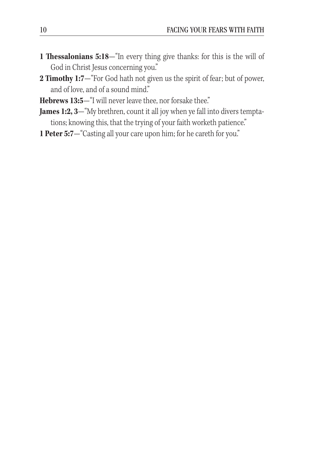- **1 Thessalonians 5:18**—"In every thing give thanks: for this is the will of God in Christ Jesus concerning you."
- **2 Timothy 1:7**—"For God hath not given us the spirit of fear; but of power, and of love, and of a sound mind."
- **Hebrews 13:5**—"I will never leave thee, nor forsake thee."
- **James 1:2, 3**—"My brethren, count it all joy when ye fall into divers temptations; knowing this, that the trying of your faith worketh patience."
- **1 Peter 5:7**—"Casting all your care upon him; for he careth for you."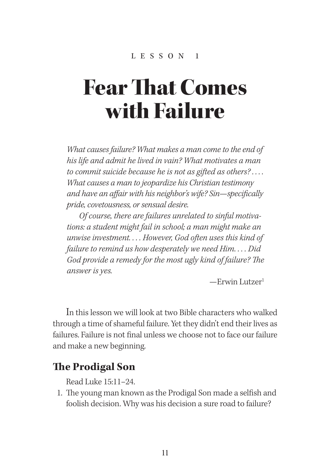# Fear That Comes with Failure

*What causes failure? What makes a man come to the end of his life and admit he lived in vain? What motivates a man to commit suicide because he is not as gifted as others? . . . . What causes a man to jeopardize his Christian testimony and have an affair with his neighbor's wife? Sin—specifically pride, covetousness, or sensual desire.* 

 *Of course, there are failures unrelated to sinful motivations: a student might fail in school; a man might make an unwise investment. . . . However, God often uses this kind of failure to remind us how desperately we need Him. . . . Did God provide a remedy for the most ugly kind of failure? The answer is yes.*

—Erwin Lutzer1

In this lesson we will look at two Bible characters who walked through a time of shameful failure. Yet they didn't end their lives as failures. Failure is not final unless we choose not to face our failure and make a new beginning.

### **The Prodigal Son**

Read Luke 15:11–24.

1. The young man known as the Prodigal Son made a selfish and foolish decision. Why was his decision a sure road to failure?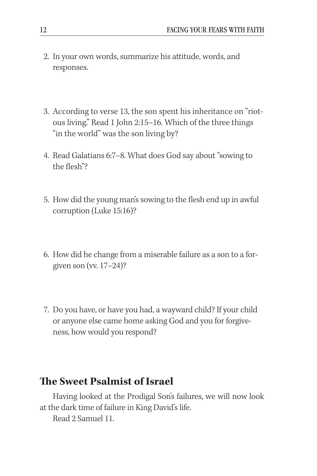- 2. In your own words, summarize his attitude, words, and responses.
- 3. According to verse 13, the son spent his inheritance on "riotous living." Read 1 John 2:15–16. Which of the three things "in the world" was the son living by?
- 4. Read Galatians 6:7–8. What does God say about "sowing to the flesh"?
- 5. How did the young man's sowing to the flesh end up in awful corruption (Luke 15:16)?
- 6. How did he change from a miserable failure as a son to a forgiven son (vv. 17–24)?
- 7. Do you have, or have you had, a wayward child? If your child or anyone else came home asking God and you for forgiveness, how would you respond?

### **The Sweet Psalmist of Israel**

Having looked at the Prodigal Son's failures, we will now look at the dark time of failure in King David's life.

Read 2 Samuel 11.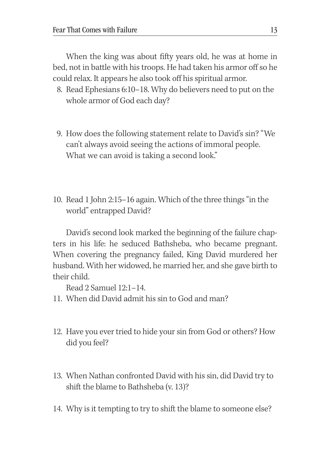When the king was about fifty years old, he was at home in bed, not in battle with his troops. He had taken his armor off so he could relax. It appears he also took off his spiritual armor.

- 8. Read Ephesians 6:10–18. Why do believers need to put on the whole armor of God each day?
- 9. How does the following statement relate to David's sin? "We can't always avoid seeing the actions of immoral people. What we can avoid is taking a second look."
- 10. Read 1 John 2:15–16 again. Which of the three things "in the world" entrapped David?

David's second look marked the beginning of the failure chapters in his life: he seduced Bathsheba, who became pregnant. When covering the pregnancy failed, King David murdered her husband. With her widowed, he married her, and she gave birth to their child.

Read 2 Samuel 12:1–14.

- 11. When did David admit his sin to God and man?
- 12. Have you ever tried to hide your sin from God or others? How did you feel?
- 13. When Nathan confronted David with his sin, did David try to shift the blame to Bathsheba (v. 13)?
- 14. Why is it tempting to try to shift the blame to someone else?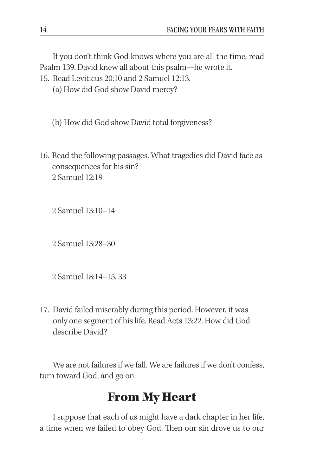If you don't think God knows where you are all the time, read Psalm 139. David knew all about this psalm—he wrote it.

15. Read Leviticus 20:10 and 2 Samuel 12:13.

(a) How did God show David mercy?

(b) How did God show David total forgiveness?

16. Read the following passages. What tragedies did David face as consequences for his sin? 2 Samuel 12:19

2 Samuel 13:10–14

2 Samuel 13:28–30

2 Samuel 18:14–15, 33

17. David failed miserably during this period. However, it was only one segment of his life. Read Acts 13:22. How did God describe David?

We are not failures if we fall. We are failures if we don't confess, turn toward God, and go on.

### From My Heart

I suppose that each of us might have a dark chapter in her life, a time when we failed to obey God. Then our sin drove us to our